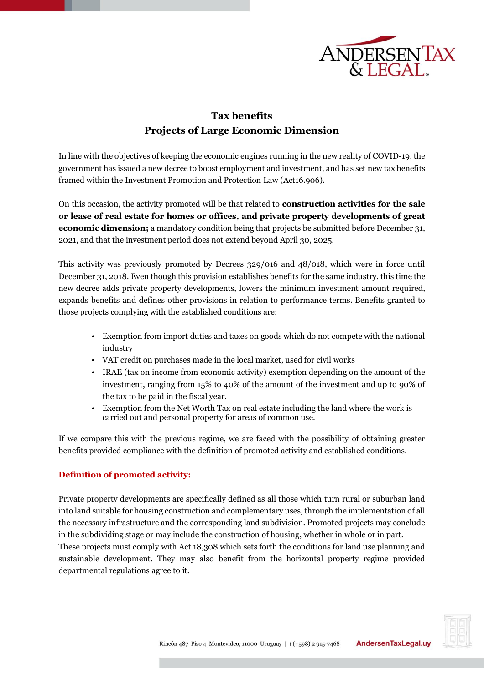

# **Tax benefits Projects of Large Economic Dimension**

In line with the objectives of keeping the economic engines running in the new reality of COVID-19, the government has issued a new decree to boost employment and investment, and has set new tax benefits framed within the Investment Promotion and Protection Law (Act16.906).

On this occasion, the activity promoted will be that related to **construction activities for the sale or lease of real estate for homes or offices, and private property developments of great economic dimension;** a mandatory condition being that projects be submitted before December 31, 2021, and that the investment period does not extend beyond April 30, 2025.

This activity was previously promoted by Decrees 329/016 and 48/018, which were in force until December 31, 2018. Even though this provision establishes benefits for the same industry, this time the new decree adds private property developments, lowers the minimum investment amount required, expands benefits and defines other provisions in relation to performance terms. Benefits granted to those projects complying with the established conditions are:

- Exemption from import duties and taxes on goods which do not compete with the national industry
- VAT credit on purchases made in the local market, used for civil works
- IRAE (tax on income from economic activity) exemption depending on the amount of the investment, ranging from 15% to 40% of the amount of the investment and up to 90% of the tax to be paid in the fiscal year.
- Exemption from the Net Worth Tax on real estate including the land where the work is carried out and personal property for areas of common use.

If we compare this with the previous regime, we are faced with the possibility of obtaining greater benefits provided compliance with the definition of promoted activity and established conditions.

#### **Definition of promoted activity:**

Private property developments are specifically defined as all those which turn rural or suburban land into land suitable for housing construction and complementary uses, through the implementation of all the necessary infrastructure and the corresponding land subdivision. Promoted projects may conclude in the subdividing stage or may include the construction of housing, whether in whole or in part.

These projects must comply with Act 18,308 which sets forth the conditions for land use planning and sustainable development. They may also benefit from the horizontal property regime provided departmental regulations agree to it.

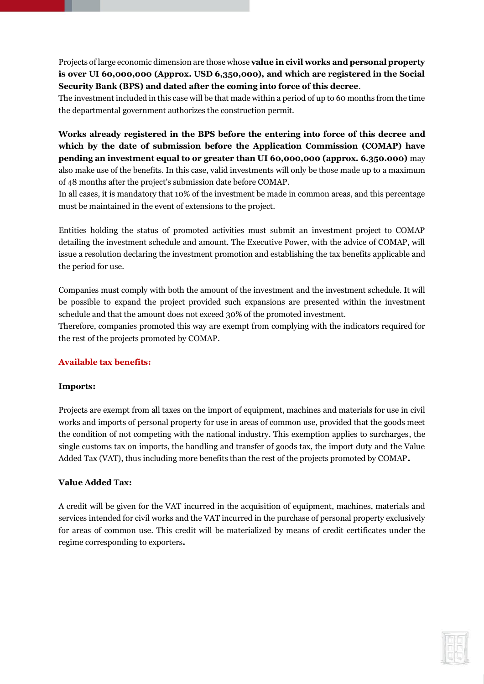Projects of large economic dimension are those whose **value in civil works and personal property is over UI 60,000,000 (Approx. USD 6,350,000), and which are registered in the Social Security Bank (BPS) and dated after the coming into force of this decree**.

The investment included in this case will be that made within a period of up to 60 months from the time the departmental government authorizes the construction permit.

**Works already registered in the BPS before the entering into force of this decree and which by the date of submission before the Application Commission (COMAP) have pending an investment equal to or greater than UI 60,000,000 (approx. 6.350.000)** may also make use of the benefits. In this case, valid investments will only be those made up to a maximum of 48 months after the project's submission date before COMAP.

In all cases, it is mandatory that 10% of the investment be made in common areas, and this percentage must be maintained in the event of extensions to the project.

Entities holding the status of promoted activities must submit an investment project to COMAP detailing the investment schedule and amount. The Executive Power, with the advice of COMAP, will issue a resolution declaring the investment promotion and establishing the tax benefits applicable and the period for use.

Companies must comply with both the amount of the investment and the investment schedule. It will be possible to expand the project provided such expansions are presented within the investment schedule and that the amount does not exceed 30% of the promoted investment.

Therefore, companies promoted this way are exempt from complying with the indicators required for the rest of the projects promoted by COMAP.

#### **Available tax benefits:**

#### **Imports:**

Projects are exempt from all taxes on the import of equipment, machines and materials for use in civil works and imports of personal property for use in areas of common use, provided that the goods meet the condition of not competing with the national industry. This exemption applies to surcharges, the single customs tax on imports, the handling and transfer of goods tax, the import duty and the Value Added Tax (VAT), thus including more benefits than the rest of the projects promoted by COMAP**.**

#### **Value Added Tax:**

A credit will be given for the VAT incurred in the acquisition of equipment, machines, materials and services intended for civil works and the VAT incurred in the purchase of personal property exclusively for areas of common use. This credit will be materialized by means of credit certificates under the regime corresponding to exporters**.**

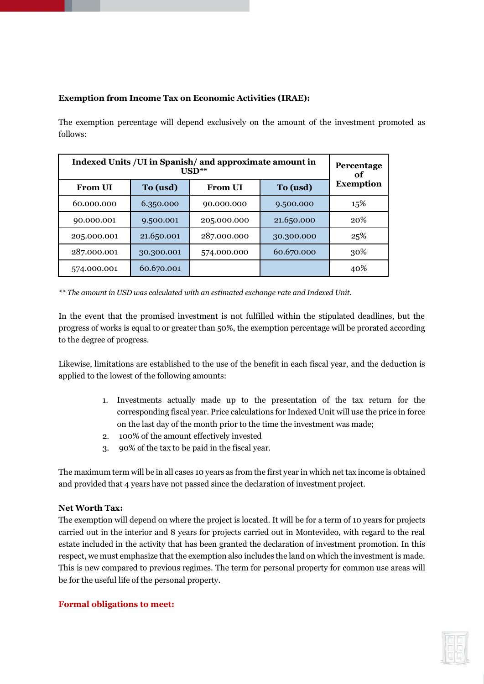## **Exemption from Income Tax on Economic Activities (IRAE):**

The exemption percentage will depend exclusively on the amount of the investment promoted as follows:

| Indexed Units / UI in Spanish / and approximate amount in<br>$USD**$ |            |                |            | Percentage<br>оf |
|----------------------------------------------------------------------|------------|----------------|------------|------------------|
| <b>From UI</b>                                                       | To (usd)   | <b>From UI</b> | To (usd)   | <b>Exemption</b> |
| 60.000.000                                                           | 6.350.000  | 90.000.000     | 9.500.000  | 15%              |
| 90.000.001                                                           | 9.500.001  | 205.000.000    | 21.650.000 | 20%              |
| 205.000.001                                                          | 21.650.001 | 287.000.000    | 30.300.000 | 25%              |
| 287.000.001                                                          | 30.300.001 | 574.000.000    | 60.670.000 | 30%              |
| 574.000.001                                                          | 60.670.001 |                |            | 40%              |

*\*\* The amount in USD was calculated with an estimated exchange rate and Indexed Unit.*

In the event that the promised investment is not fulfilled within the stipulated deadlines, but the progress of works is equal to or greater than 50%, the exemption percentage will be prorated according to the degree of progress.

Likewise, limitations are established to the use of the benefit in each fiscal year, and the deduction is applied to the lowest of the following amounts:

- 1. Investments actually made up to the presentation of the tax return for the corresponding fiscal year. Price calculations for Indexed Unit will use the price in force on the last day of the month prior to the time the investment was made;
- 2. 100% of the amount effectively invested
- 3. 90% of the tax to be paid in the fiscal year.

The maximum term will be in all cases 10 years as from the first year in which net tax income is obtained and provided that 4 years have not passed since the declaration of investment project.

## **Net Worth Tax:**

The exemption will depend on where the project is located. It will be for a term of 10 years for projects carried out in the interior and 8 years for projects carried out in Montevideo, with regard to the real estate included in the activity that has been granted the declaration of investment promotion. In this respect, we must emphasize that the exemption also includes the land on which the investment is made. This is new compared to previous regimes. The term for personal property for common use areas will be for the useful life of the personal property.

## **Formal obligations to meet:**